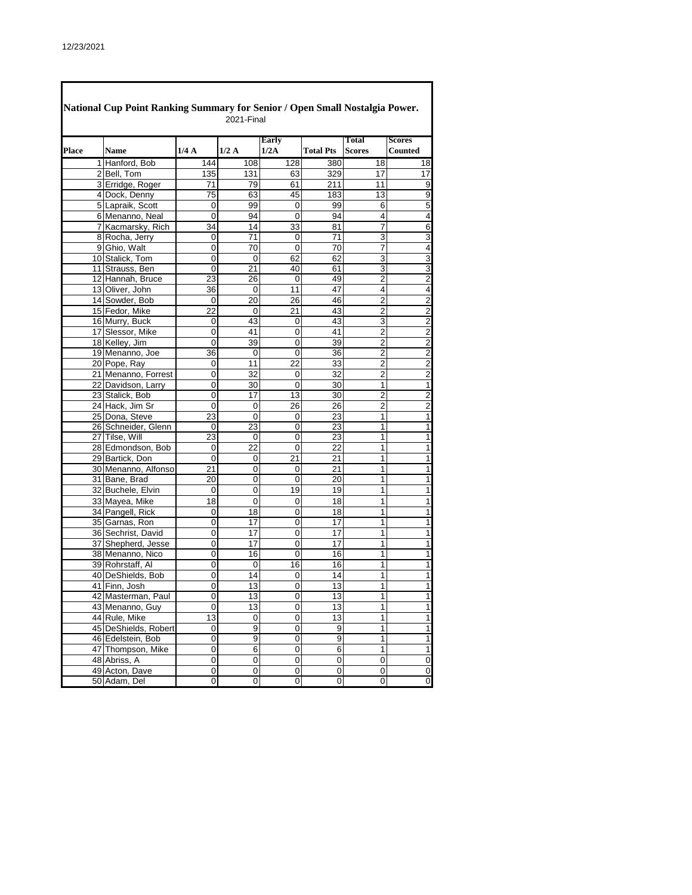|       | National Cup Point Ranking Summary for Senior / Open Small Nostalgia Power. |             | 2021-Final     |                |                  |                               |                                           |
|-------|-----------------------------------------------------------------------------|-------------|----------------|----------------|------------------|-------------------------------|-------------------------------------------|
| Place | <b>Name</b>                                                                 | 1/4A        | 1/2A           | Early<br>1/2A  | <b>Total Pts</b> | <b>Total</b><br><b>Scores</b> | <b>Scores</b><br><b>Counted</b>           |
|       | 1 Hanford, Bob                                                              | 144         | 108            | 128            | 380              | 18                            | 18                                        |
|       | 2 Bell, Tom                                                                 | 135         | 131            | 63             | 329              | 17                            | 17                                        |
|       | 3 Erridge, Roger                                                            | 71          | 79             | 61             | 211              | 11                            | $\overline{9}$                            |
|       | 4 Dock, Denny                                                               | 75          | 63             | 45             | 183              | 13                            | 9                                         |
|       | 5 Lapraik, Scott                                                            | 0           | 99             | 0              | 99               | 6                             | 5                                         |
|       | 6 Menanno, Neal                                                             | 0           | 94             | 0              | 94               | 4                             | 4                                         |
|       | 7 Kacmarsky, Rich                                                           | 34          | 14             | 33             | 81               | $\overline{7}$                | $\overline{6}$                            |
|       | 8 Rocha, Jerry                                                              | 0           | 71             | 0              | 71               | 3                             | $\overline{3}$                            |
|       | 9 Ghio, Walt                                                                | 0           | 70             | $\overline{0}$ | 70               | 7                             | 4                                         |
|       | 10 Stalick, Tom                                                             | 0           | $\mathbf 0$    | 62             | 62               | 3                             | 3                                         |
|       | 11 Strauss, Ben                                                             | 0           | 21             | 40             | 61               | 3                             | 3                                         |
|       |                                                                             | 23          |                | 0              | 49               | 2                             | $\overline{2}$                            |
|       | 12 Hannah, Bruce<br>13 Oliver, John                                         | 36          | 26<br>0        | 11             | 47               | 4                             | $\overline{4}$                            |
|       | 14 Sowder, Bob                                                              |             |                |                | 46               |                               |                                           |
|       |                                                                             | 0           | 20             | 26             |                  | 2                             | $\overline{2}$<br>$\overline{\mathbf{c}}$ |
|       | 15 Fedor, Mike                                                              | 22          | 0              | 21             | 43               | $\overline{\mathbf{c}}$       |                                           |
|       | 16 Murry, Buck                                                              | 0           | 43             | 0              | 43               | 3                             | $\overline{2}$                            |
|       | 17 Slessor, Mike                                                            | 0           | 41             | 0              | 41               | $\overline{2}$                | $\overline{2}$                            |
|       | 18 Kelley, Jim                                                              | 0           | 39             | 0              | 39               | $\overline{2}$                | $\overline{\mathbf{c}}$                   |
|       | 19 Menanno, Joe                                                             | 36          | $\mathbf 0$    | 0              | 36               | $\overline{2}$                | $\overline{\mathbf{c}}$                   |
|       | 20 Pope, Ray                                                                | 0           | 11             | 22             | 33               | $\overline{2}$                | $\overline{2}$                            |
|       | 21 Menanno, Forrest                                                         | 0           | 32             | 0              | $\overline{32}$  | $\overline{2}$                | $\overline{\mathbf{c}}$                   |
|       | 22 Davidson, Larry                                                          | 0           | 30             | 0              | 30               | $\mathbf{1}$                  | $\overline{1}$                            |
|       | 23 Stalick, Bob                                                             | 0           | 17             | 13             | 30               | $\overline{2}$                | $\overline{\mathbf{c}}$                   |
|       | 24 Hack, Jim Sr                                                             | 0           | 0              | 26             | 26               | 2                             | $\overline{2}$                            |
|       | 25 Dona, Steve                                                              | 23          | $\overline{0}$ | 0              | 23               | 1                             | 1                                         |
|       | 26 Schneider, Glenn                                                         | 0           | 23             | 0              | 23               | 1                             | 1                                         |
|       | 27 Tilse, Will                                                              | 23          | 0              | 0              | 23               | 1                             | 1                                         |
|       | 28 Edmondson, Bob                                                           | 0           | 22             | 0              | 22               | 1                             | 1                                         |
|       | 29 Bartick, Don                                                             | $\mathbf 0$ | 0              | 21             | 21               | 1                             | 1                                         |
|       | 30 Menanno, Alfonso                                                         | 21          | 0              | 0              | 21               | 1                             | 1                                         |
|       | 31 Bane, Brad                                                               | 20          | 0              | 0              | 20               | 1                             | 1                                         |
|       | 32 Buchele, Elvin                                                           | 0           | 0              | 19             | 19               | 1                             | $\mathbf{1}$                              |
|       | 33 Mayea, Mike                                                              | 18          | 0              | 0              | 18               | 1                             | 1                                         |
|       | 34 Pangell, Rick                                                            | 0           | 18             | 0              | 18               | $\mathbf{1}$                  | 1                                         |
|       | 35 Garnas, Ron                                                              | 0           | 17             | 0              | 17               | 1                             | 1                                         |
|       | 36 Sechrist, David                                                          | 0           | 17             | 0              | 17               | 1                             | 1                                         |
|       | 37 Shepherd, Jesse                                                          | 0           | 17             | $\overline{0}$ | 17               | 1                             | 1                                         |
|       | 38 Menanno, Nico                                                            | 0           | 16             | 0              | 16               | 1                             | 1                                         |
|       | 39 Rohrstaff, Al                                                            | 0           | 0              | 16             | 16               | 1                             | $\overline{1}$                            |
|       | 40 DeShields, Bob                                                           | 0           | 14             | 0              | 14               | 1                             | 1                                         |
|       | 41 Finn, Josh                                                               | 0           | 13             | 0              | 13               | $\mathbf{1}$                  | 1                                         |
|       | 42 Masterman, Paul                                                          | 0           | 13             | 0              | 13               | 1                             | $\mathbf 1$                               |
|       | 43 Menanno, Guy                                                             | 0           | 13             | 0              | 13               | 1                             | $\mathbf{1}$                              |
|       | 44 Rule, Mike                                                               | 13          | 0              | 0              | 13               | $\mathbf{1}$                  | $\overline{1}$                            |
|       | 45 DeShields, Robert                                                        | 0           | 9              | 0              | 9                | $\mathbf{1}$                  | $\mathbf{1}$                              |
|       | 46 Edelstein, Bob                                                           | 0           | 9              | 0              | 9                | $\mathbf{1}$                  | $\overline{1}$                            |
|       | 47 Thompson, Mike                                                           | 0           | 6              | 0              | 6                | 1                             | $\overline{1}$                            |
|       | 48 Abriss, A                                                                | 0           | 0              | 0              | $\mathbf 0$      | $\pmb{0}$                     | $\pmb{0}$                                 |
|       | 49 Acton, Dave                                                              | 0           | 0              | 0              | 0                | 0                             | $\mathbf 0$                               |
|       | 50 Adam, Del                                                                | 0           | 0              | 0              | 0                | 0                             | o                                         |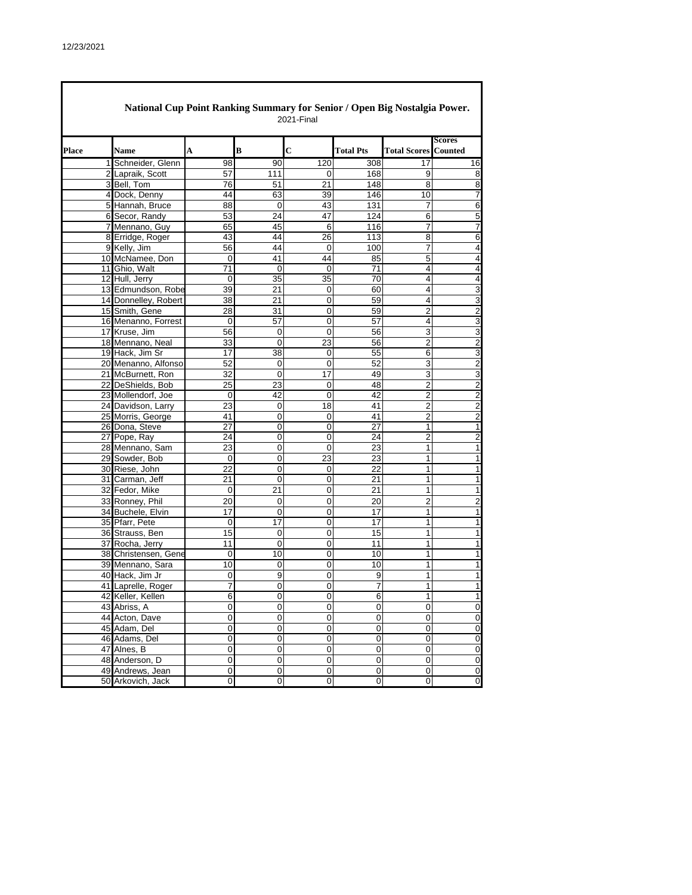$\overline{\Gamma}$ 

|              | National Cup Point Ranking Summary for Senior / Open Big Nostalgia Power. |             |             | 2021-Final |                  |                             |                         |
|--------------|---------------------------------------------------------------------------|-------------|-------------|------------|------------------|-----------------------------|-------------------------|
| <b>Place</b> | Name                                                                      | A           | B           | C          | <b>Total Pts</b> | <b>Total Scores Counted</b> | <b>Scores</b>           |
|              | 1 Schneider, Glenn                                                        | 98          | 90          | 120        | 308              | 17                          | 16                      |
|              | 2 Lapraik, Scott                                                          | 57          | 111         | 0          | 168              | 9                           | 8                       |
|              | 3 Bell, Tom                                                               | 76          | 51          | 21         | 148              | 8                           | 8                       |
|              | 4 Dock, Denny                                                             | 44          | 63          | 39         | 146              | 10                          | $\overline{7}$          |
|              | 5 Hannah, Bruce                                                           | 88          | $\mathbf 0$ | 43         | 131              | 7                           | $\overline{6}$          |
|              | 6 Secor, Randy                                                            | 53          | 24          | 47         | 124              | 6                           | 5                       |
|              | 7 Mennano, Guy                                                            | 65          | 45          | 6          | 116              | 7                           | $\overline{7}$          |
|              | 8 Erridge, Roger                                                          | 43          | 44          | 26         | 113              | 8                           | $\overline{6}$          |
|              | 9 Kelly, Jim                                                              | 56          | 44          | 0          | 100              | 7                           | $\overline{\mathbf{4}}$ |
|              | 10 McNamee, Don                                                           | 0           | 41          | 44         | 85               | 5                           | $\overline{4}$          |
|              | 11 Ghio, Walt                                                             | 71          | 0           | 0          | 71               | 4                           | $\overline{4}$          |
|              | 12 Hull, Jerry                                                            | $\mathbf 0$ | 35          | 35         | 70               | 4                           | $\overline{\mathbf{4}}$ |
|              | 13 Edmundson, Robe                                                        | 39          | 21          | 0          | 60               | 4                           | $\overline{3}$          |
|              | 14 Donnelley, Robert                                                      | 38          | 21          | 0          | 59               | 4                           | $\overline{3}$          |
|              | 15 Smith, Gene                                                            | 28          | 31          | 0          | 59               | 2                           | $\overline{2}$          |
|              | 16 Menanno, Forrest                                                       | $\mathbf 0$ | 57          | 0          | 57               | 4                           | $\overline{3}$          |
|              | 17 Kruse, Jim                                                             | 56          | 0           | 0          | 56               | 3                           | 3                       |
|              | 18 Mennano, Neal                                                          | 33          | 0           | 23         | 56               | $\overline{2}$              | $\overline{2}$          |
|              | 19 Hack, Jim Sr                                                           | 17          | 38          | 0          | 55               | 6                           | $\overline{3}$          |
|              | 20 Menanno, Alfonso                                                       | 52          | 0           | 0          | 52               | 3                           | $\overline{\mathbf{c}}$ |
|              | 21 McBurnett, Ron                                                         | 32          | 0           | 17         | 49               | 3                           | $\overline{3}$          |
|              | 22 DeShields, Bob                                                         | 25          | 23          | 0          | 48               | 2                           | $\overline{2}$          |
|              | 23 Mollendorf, Joe                                                        | 0           | 42          | 0          | 42               | $\overline{2}$              | $\overline{\mathbf{c}}$ |
|              | 24 Davidson, Larry                                                        | 23          | $\mathbf 0$ | 18         | 41               | 2                           | $\overline{\mathbf{c}}$ |
|              | 25 Morris, George                                                         | 41          | 0           | 0          | 41               | 2                           | $\overline{2}$          |
|              | 26 Dona, Steve                                                            | 27          | 0           | 0          | 27               | 1                           | $\overline{1}$          |
|              | 27 Pope, Ray                                                              | 24          | 0           | 0          | 24               | 2                           | $\overline{2}$          |
|              | 28 Mennano, Sam                                                           | 23          | 0           | 0          | 23               | 1                           | $\mathbf{1}$            |
|              | 29 Sowder, Bob                                                            | 0           | 0           | 23         | 23               | 1                           | 1                       |
|              | 30 Riese, John                                                            | 22          | 0           | 0          | 22               | 1                           | $\overline{1}$          |
|              | 31 Carman, Jeff                                                           | 21          | 0           | 0          | 21               | 1                           | $\mathbf{1}$            |
|              | 32 Fedor, Mike                                                            | 0           | 21          | 0          | 21               | 1                           | $\mathbf{1}$            |
|              | 33 Ronney, Phil                                                           | 20          | $\mathbf 0$ | 0          | 20               | 2                           | $\overline{c}$          |
|              | 34 Buchele, Elvin                                                         | 17          | 0           | 0          | 17               | 1                           | 1                       |
|              | 35 Pfarr, Pete                                                            | 0           | 17          | 0          | 17               | 1                           | $\mathbf{1}$            |
|              | 36 Strauss, Ben                                                           | 15          | 0           | 0          | 15               | 1                           | $\overline{1}$          |
|              | 37 Rocha, Jerry                                                           | 11          | 0           | 0          | 11               | 1                           | $\mathbf{1}$            |
|              | 38 Christensen, Gene                                                      | 0           | 10          | 0          | 10               | 1                           | $\mathbf{1}$            |
|              | 39 Mennano, Sara                                                          | 10          | 0           | 0          | 10               | 1                           | $\overline{1}$          |
|              | 40 Hack, Jim Jr                                                           | 0           | 9           | 0          | 9                | 1                           | $\overline{1}$          |
|              | 41 Laprelle, Roger                                                        | 7           | 0           | 0          | 7                | 1                           | 1                       |
|              | 42 Keller, Kellen                                                         | 6           | 0           | 0          | 6                | 1                           | 1                       |
|              | 43 Abriss, A                                                              | 0           | 0           | $\pmb{0}$  | 0                | 0                           | $\overline{0}$          |
|              | 44 Acton, Dave                                                            | $\mathbf 0$ | 0           | 0          | $\pmb{0}$        | 0                           | $\overline{0}$          |
|              | 45 Adam, Del                                                              | 0           | $\pmb{0}$   | 0          | $\pmb{0}$        | 0                           | $\overline{0}$          |
|              | 46 Adams, Del                                                             | 0           | 0           | 0          | $\pmb{0}$        | 0                           | $\overline{0}$          |
|              | 47 Alnes, B                                                               | 0           | $\pmb{0}$   | 0          | 0                | 0                           | $\overline{0}$          |
|              | 48 Anderson, D                                                            | $\mathbf 0$ | 0           | 0          | $\pmb{0}$        | 0                           | $\overline{0}$          |
|              | 49 Andrews, Jean                                                          | $\mathbf 0$ | $\mathsf 0$ | 0          | 0                | 0                           | $\mathbf 0$             |
|              | 50 Arkovich, Jack                                                         | 0           | 0           | 0          | 0                | 0                           | $\pmb{0}$               |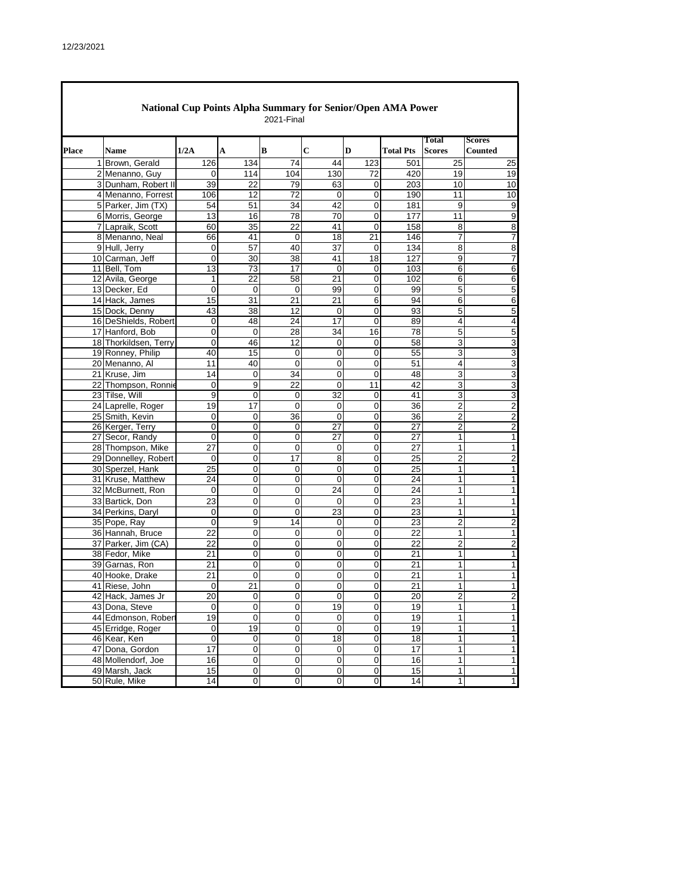|       | <b>National Cup Points Alpha Summary for Senior/Open AMA Power</b><br>2021-Final |                 |                 |                 |                 |                |                  |                        |                                 |  |  |  |
|-------|----------------------------------------------------------------------------------|-----------------|-----------------|-----------------|-----------------|----------------|------------------|------------------------|---------------------------------|--|--|--|
| Place | <b>Name</b>                                                                      | 1/2A            | A               | B               | $\mathbf C$     | D              | <b>Total Pts</b> | Total<br><b>Scores</b> | <b>Scores</b><br><b>Counted</b> |  |  |  |
|       | 1 Brown, Gerald                                                                  | 126             | 134             | 74              | 44              | 123            | 501              | 25                     | 25                              |  |  |  |
|       | 2 Menanno, Guy                                                                   | 0               | 114             | 104             | 130             | 72             | 420              | 19                     | 19                              |  |  |  |
|       | 3 Dunham, Robert II                                                              | 39              | 22              | 79              | 63              | 0              | 203              | 10                     | 10                              |  |  |  |
|       | 4 Menanno, Forrest                                                               | 106             | 12              | 72              | 0               | 0              | 190              | 11                     | 10                              |  |  |  |
|       | 5 Parker, Jim (TX)                                                               | 54              | 51              | 34              | 42              | $\overline{0}$ | 181              | 9                      | 9                               |  |  |  |
|       | 6 Morris, George                                                                 | 13              | 16              | 78              | 70              | 0              | 177              | 11                     | 9                               |  |  |  |
|       | 7 Lapraik, Scott                                                                 | 60              | $\overline{35}$ | $\overline{22}$ | 41              | $\mathbf 0$    | 158              | 8                      | 8                               |  |  |  |
|       | 8 Menanno, Neal                                                                  | 66              | 41              | 0               | 18              | 21             | 146              | 7                      | 7                               |  |  |  |
|       | 9 Hull, Jerry                                                                    | 0               | 57              | 40              | $\overline{37}$ | $\mathbf 0$    | 134              | 8                      | 8                               |  |  |  |
|       | 10 Carman, Jeff                                                                  | 0               | 30              | 38              | 41              | 18             | 127              | 9                      | 7                               |  |  |  |
|       | 11 Bell, Tom                                                                     | $\overline{13}$ | 73              | 17              | 0               | 0              | 103              | 6                      | 6                               |  |  |  |
|       | 12 Avila, George                                                                 | $\mathbf{1}$    | 22              | 58              | 21              | $\mathbf 0$    | 102              | 6                      | 6                               |  |  |  |
|       | 13 Decker, Ed                                                                    | 0               | 0               | 0               | 99              | $\pmb{0}$      | 99               | 5                      | 5                               |  |  |  |
|       | 14 Hack, James                                                                   | 15              | 31              | 21              | 21              | 6              | 94               | 6                      | 6                               |  |  |  |
|       | 15 Dock, Denny                                                                   | 43              | 38              | 12              | 0               | 0              | 93               | 5                      | 5                               |  |  |  |
|       | 16 DeShields, Robert                                                             | 0               | 48              | 24              | 17              | $\mathbf 0$    | 89               | 4                      | 4                               |  |  |  |
|       | 17 Hanford, Bob                                                                  | 0               | $\mathbf 0$     | 28              | 34              | 16             | 78               | 5                      | 5                               |  |  |  |
|       | 18 Thorkildsen, Terry                                                            | 0               | 46              | 12              | 0               | 0              | 58               | 3                      | 3                               |  |  |  |
|       | 19 Ronney, Philip                                                                | 40              | 15              | 0               | 0               | 0              | 55               | 3                      | 3                               |  |  |  |
|       | 20 Menanno, Al                                                                   | 11              | 40              | 0               | 0               | 0              | 51               | 4                      | 3                               |  |  |  |
|       | 21 Kruse, Jim                                                                    | 14              | $\overline{0}$  | 34              | 0               | $\mathbf 0$    | 48               | 3                      | 3                               |  |  |  |
|       | 22 Thompson, Ronnie                                                              | 0               | 9               | 22              | 0               | 11             | 42               | 3                      | 3                               |  |  |  |
|       | 23 Tilse, Will                                                                   | 9               | 0               | $\mathbf 0$     | 32              | 0              | 41               | 3                      | 3                               |  |  |  |
|       | 24 Laprelle, Roger                                                               | 19              | 17              | 0               | $\mathbf 0$     | 0              | 36               | 2                      | $\overline{c}$                  |  |  |  |
|       | 25 Smith, Kevin                                                                  | 0               | 0               | 36              | $\Omega$        | $\mathbf 0$    | 36               | $\overline{2}$         | $\overline{2}$                  |  |  |  |
|       | 26 Kerger, Terry                                                                 | 0               | 0               | 0               | 27              | 0              | 27               | 2                      | $\overline{\mathbf{c}}$         |  |  |  |
|       | 27 Secor, Randy                                                                  | 0               | 0               | $\mathbf 0$     | 27              | $\mathbf 0$    | 27               | 1                      | 1                               |  |  |  |
|       | 28 Thompson, Mike                                                                | 27              | 0               | 0               | 0               | 0              | 27               | $\mathbf{1}$           | 1                               |  |  |  |
|       | 29 Donnelley, Robert                                                             | 0               | 0               | 17              | 8               | 0              | 25               | $\overline{2}$         | $\overline{c}$                  |  |  |  |
|       | 30 Sperzel, Hank                                                                 | 25              | 0               | $\mathbf 0$     | 0               | $\mathbf 0$    | 25               | 1                      | 1                               |  |  |  |
|       | 31 Kruse, Matthew                                                                | 24              | 0               | 0               | 0               | 0              | 24               | 1                      | 1                               |  |  |  |
|       | 32 McBurnett, Ron                                                                | 0               | $\mathsf 0$     | 0               | 24              | 0              | 24               | 1                      | $\mathbf{1}$                    |  |  |  |
|       | 33 Bartick, Don                                                                  | 23              | 0               | 0               | $\mathbf 0$     | 0              | 23               | 1                      | 1                               |  |  |  |
|       | 34 Perkins, Daryl                                                                | 0               | 0               | 0               | 23              | 0              | 23               | 1                      | 1                               |  |  |  |
|       | 35 Pope, Ray                                                                     | 0               | 9               | 14              | 0               | 0              | 23               | $\overline{2}$         | $\overline{c}$                  |  |  |  |
|       | 36 Hannah, Bruce                                                                 | 22              | 0               | 0               | 0               | 0              | 22               | 1                      | 1                               |  |  |  |
|       | 37 Parker, Jim (CA)                                                              | 22              | 0               | 0               | 0               | 0              | 22               | $\overline{2}$         | $\overline{2}$                  |  |  |  |
|       | 38 Fedor, Mike                                                                   | 21              | 0               | 0               | 0               | 0              | 21               | 1                      | 1                               |  |  |  |
|       | 39 Garnas, Ron                                                                   | $\overline{21}$ | 0               | 0               | 0               | 0              | $\overline{21}$  | 1                      | 1                               |  |  |  |
|       | 40 Hooke, Drake                                                                  | 21              | 0               | 0               | 0               | 0              | 21               | 1                      | 1                               |  |  |  |
|       | 41 Riese, John                                                                   | 0               | $\overline{21}$ | 0               | 0               | $\mathbf 0$    | $\overline{21}$  | $\mathbf{1}$           | 1                               |  |  |  |
|       | 42 Hack, James Jr                                                                | 20              | $\mathbf 0$     | $\mathbf 0$     | $\mathbf 0$     | $\overline{0}$ | 20               | $\overline{2}$         | $\overline{c}$                  |  |  |  |
|       | 43 Dona, Steve                                                                   | 0               | 0               | 0               | 19              | 0              | 19               | 1                      | 1                               |  |  |  |
|       | 44 Edmonson, Robert                                                              | 19              | $\mathbf 0$     | 0               | 0               | $\mathbf 0$    | 19               | 1                      | 1                               |  |  |  |
|       | 45 Erridge, Roger                                                                | 0               | 19              | 0               | $\pmb{0}$       | $\pmb{0}$      | 19               | 1                      | 1                               |  |  |  |
|       | 46 Kear, Ken                                                                     | $\mathbf 0$     | $\mathbf 0$     | 0               | 18              | $\pmb{0}$      | 18               | 1                      | 1                               |  |  |  |
|       | 47 Dona, Gordon                                                                  | 17              | $\pmb{0}$       | 0               | 0               | $\pmb{0}$      | 17               | 1                      | 1                               |  |  |  |
|       | 48 Mollendorf, Joe                                                               | 16              | $\mathbf 0$     | 0               | $\mathbf 0$     | $\pmb{0}$      | 16               | 1                      | 1                               |  |  |  |
|       | 49 Marsh, Jack                                                                   | 15              | $\pmb{0}$       | 0               | $\pmb{0}$       | $\pmb{0}$      | 15               | $\mathbf{1}$           | 1                               |  |  |  |
|       | 50 Rule, Mike                                                                    | 14              | $\pmb{0}$       | 0               | $\pmb{0}$       | $\pmb{0}$      | 14               | $\mathbf{1}$           | 1                               |  |  |  |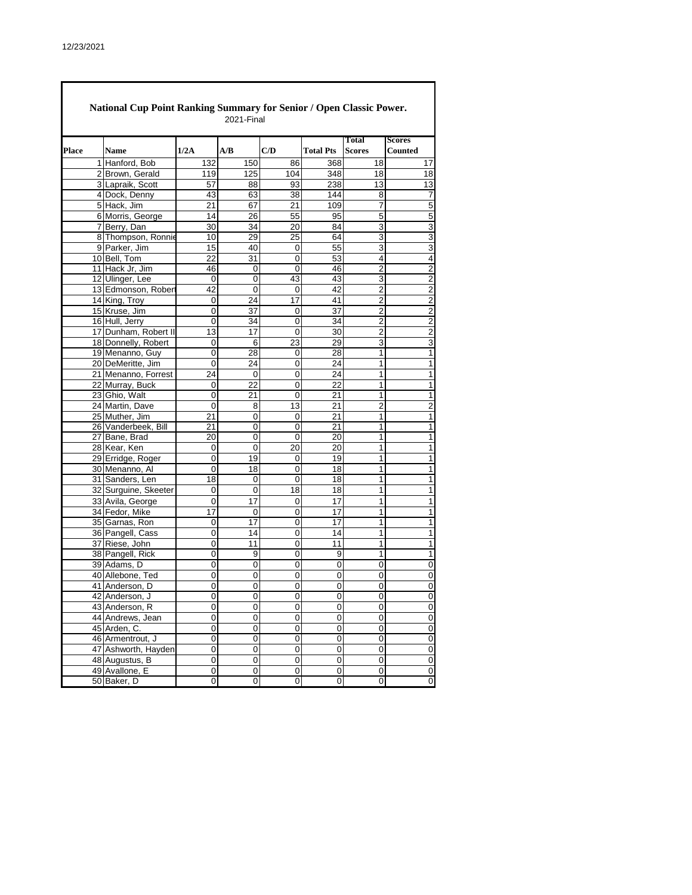|       | <b>National Cup Point Ranking Summary for Senior / Open Classic Power.</b><br>2021-Final |                      |                 |                 |     |                  |                               |                                 |  |  |  |
|-------|------------------------------------------------------------------------------------------|----------------------|-----------------|-----------------|-----|------------------|-------------------------------|---------------------------------|--|--|--|
| Place |                                                                                          | <b>Name</b>          | 1/2A            | A/B             | C/D | <b>Total Pts</b> | <b>Total</b><br><b>Scores</b> | <b>Scores</b><br><b>Counted</b> |  |  |  |
|       |                                                                                          | 1 Hanford, Bob       | 132             | 150             | 86  | 368              | 18                            | 17                              |  |  |  |
|       |                                                                                          | 2 Brown, Gerald      | 119             | 125             | 104 | 348              | 18                            | 18                              |  |  |  |
|       |                                                                                          | 3 Lapraik, Scott     | 57              | 88              | 93  | 238              | 13                            | 13                              |  |  |  |
|       |                                                                                          | 4 Dock, Denny        | 43              | 63              | 38  | 144              | 8                             | 7                               |  |  |  |
|       |                                                                                          | 5 Hack, Jim          | 21              | 67              | 21  | 109              | 7                             | 5                               |  |  |  |
|       |                                                                                          | 6 Morris, George     | 14              | 26              | 55  | 95               | 5                             | 5                               |  |  |  |
|       |                                                                                          | 7 Berry, Dan         | $\overline{30}$ | 34              | 20  | 84               | 3                             | 3                               |  |  |  |
|       |                                                                                          | 8 Thompson, Ronnie   | 10              | 29              | 25  | 64               | 3                             | $\overline{3}$                  |  |  |  |
|       |                                                                                          | 9 Parker, Jim        | 15              | 40              | 0   | $\overline{55}$  | 3                             | 3                               |  |  |  |
|       |                                                                                          | 10 Bell, Tom         | 22              | 31              | 0   | 53               | 4                             | $\overline{4}$                  |  |  |  |
|       |                                                                                          | 11 Hack Jr, Jim      | 46              | 0               | 0   | 46               | $\overline{2}$                | $\overline{2}$                  |  |  |  |
|       |                                                                                          | 12 Ulinger, Lee      | 0               | 0               | 43  | 43               | 3                             | $\overline{2}$                  |  |  |  |
|       |                                                                                          | 13 Edmonson, Robert  | 42              | $\mathsf 0$     | 0   | 42               | 2                             | $\overline{2}$                  |  |  |  |
|       |                                                                                          | 14 King, Troy        | 0               | 24              | 17  | 41               | $\overline{2}$                | $\overline{\mathbf{c}}$         |  |  |  |
|       |                                                                                          | 15 Kruse, Jim        | 0               | 37              | 0   | 37               | 2                             | $\overline{2}$                  |  |  |  |
|       |                                                                                          | 16 Hull, Jerry       | 0               | 34              | 0   | 34               | 2                             | $\overline{2}$                  |  |  |  |
|       |                                                                                          | 17 Dunham, Robert II | 13              | 17              | 0   | 30               | $\overline{2}$                | $\overline{c}$                  |  |  |  |
|       |                                                                                          | 18 Donnelly, Robert  | 0               | 6               | 23  | 29               | 3                             | $\overline{3}$                  |  |  |  |
|       |                                                                                          | 19 Menanno, Guy      | 0               | 28              | 0   | $\overline{28}$  | $\overline{1}$                | $\overline{1}$                  |  |  |  |
|       |                                                                                          | 20 DeMeritte, Jim    | 0               | 24              | 0   | 24               | 1                             | $\overline{1}$                  |  |  |  |
|       |                                                                                          | 21 Menanno, Forrest  | 24              | $\overline{0}$  | 0   | 24               | 1                             | $\overline{1}$                  |  |  |  |
|       |                                                                                          | 22 Murray, Buck      | 0               | 22              | 0   | 22               | 1                             | $\mathbf{1}$                    |  |  |  |
|       |                                                                                          | 23 Ghio, Walt        | 0               | 21              | 0   | $\overline{21}$  | 1                             | $\overline{1}$                  |  |  |  |
|       |                                                                                          | 24 Martin, Dave      | 0               | 8               | 13  | 21               | 2                             | $\overline{2}$                  |  |  |  |
|       |                                                                                          | 25 Muther, Jim       | 21              | $\overline{0}$  | 0   | 21               | 1                             | $\overline{1}$                  |  |  |  |
|       |                                                                                          | 26 Vanderbeek, Bill  | 21              | 0               | 0   | 21               | 1                             | $\overline{1}$                  |  |  |  |
|       |                                                                                          | 27 Bane, Brad        | 20              | 0               | 0   | 20               | 1                             | 1                               |  |  |  |
|       |                                                                                          | 28 Kear, Ken         | 0               | 0               | 20  | 20               | 1                             | 1                               |  |  |  |
|       |                                                                                          | 29 Erridge, Roger    | 0               | 19              | 0   | 19               | $\mathbf{1}$                  | $\mathbf{1}$                    |  |  |  |
|       |                                                                                          | 30 Menanno, Al       | 0               | 18              | 0   | 18               | 1                             | $\mathbf{1}$                    |  |  |  |
|       |                                                                                          | 31 Sanders, Len      | 18              | 0               | 0   | 18               | $\mathbf{1}$                  | 1                               |  |  |  |
|       |                                                                                          | 32 Surguine, Skeeter | 0               | 0               | 18  | 18               | 1                             | $\mathbf{1}$                    |  |  |  |
|       |                                                                                          | 33 Avila, George     | 0               | 17              | 0   | 17               | 1                             | 1                               |  |  |  |
|       |                                                                                          | 34 Fedor, Mike       | 17              | 0               | 0   | 17               | 1                             | 1                               |  |  |  |
|       |                                                                                          | 35 Garnas, Ron       | 0               | $\overline{17}$ | 0   | $\overline{17}$  | 1                             | 1                               |  |  |  |
|       |                                                                                          | 36 Pangell, Cass     | 0               | 14              | 0   | 14               | 1                             | 1                               |  |  |  |
|       |                                                                                          | 37 Riese, John       | 0               | 11              | 0   | 11               | 1                             | $\overline{1}$                  |  |  |  |
|       |                                                                                          | 38 Pangell, Rick     | 0               | 9               | 0   | 9                | 1                             | $\mathbf{1}$                    |  |  |  |
|       |                                                                                          | 39 Adams, D          | 0               | $\overline{0}$  | 0   | $\overline{0}$   | $\overline{0}$                | $\overline{0}$                  |  |  |  |
|       |                                                                                          | 40 Allebone, Ted     | 0               | 0               | 0   | 0                | 0                             | $\pmb{0}$                       |  |  |  |
|       |                                                                                          | 41 Anderson, D       | 0               | 0               | 0   | 0                | 0                             | 0                               |  |  |  |
|       |                                                                                          | 42 Anderson, J       | 0               | 0               | 0   | $\mathbf 0$      | 0                             | $\pmb{0}$                       |  |  |  |
|       |                                                                                          | 43 Anderson, R       | 0               | 0               | 0   | 0                | 0                             | 0                               |  |  |  |
|       |                                                                                          | 44 Andrews, Jean     | 0               | 0               | 0   | 0                | 0                             | $\overline{0}$                  |  |  |  |
|       |                                                                                          | 45 Arden, C.         | 0               | 0               | 0   | 0                | $\pmb{0}$                     | $\pmb{0}$                       |  |  |  |
|       |                                                                                          | 46 Armentrout, J     | 0               | 0               | 0   | 0                | 0                             | $\overline{0}$                  |  |  |  |
|       |                                                                                          | 47 Ashworth, Hayden  | 0               | 0               | 0   | 0                | 0                             | $\pmb{0}$                       |  |  |  |
|       |                                                                                          | 48 Augustus, B       | 0               | 0               | 0   | 0                | $\pmb{0}$                     | $\overline{0}$                  |  |  |  |
|       |                                                                                          | 49 Avallone, E       | 0               | 0               | 0   | 0                | 0                             | $\pmb{0}$                       |  |  |  |
|       |                                                                                          | 50 Baker, D          | 0               | 0               | 0   | 0                | 0                             | $\overline{\mathbf{0}}$         |  |  |  |

 $\overline{\mathbf{1}}$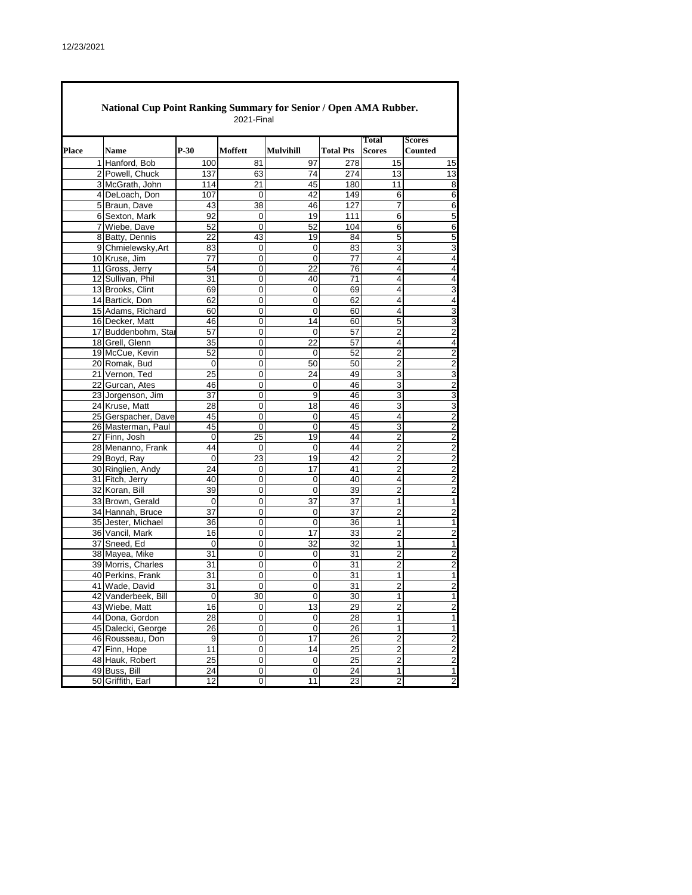$\Gamma$ 

|              | National Cup Point Ranking Summary for Senior / Open AMA Rubber. |                 | 2021-Final       |                              |                  |                               |                                 |
|--------------|------------------------------------------------------------------|-----------------|------------------|------------------------------|------------------|-------------------------------|---------------------------------|
| <b>Place</b> | <b>Name</b>                                                      | $P-30$          | Moffett          | <b>Mulvihill</b>             | <b>Total Pts</b> | <b>Total</b><br><b>Scores</b> | <b>Scores</b><br><b>Counted</b> |
|              | 1 Hanford, Bob                                                   | 100             | 81               | 97                           | 278              | 15                            | 15                              |
|              | 2 Powell, Chuck                                                  | 137             | 63               | 74                           | 274              | 13                            | 13                              |
|              | 3 McGrath, John                                                  | 114             | 21               | 45                           | 180              | 11                            | 8                               |
|              | 4 DeLoach, Don                                                   | 107             | 0                | 42                           | 149              | 6                             | 6                               |
|              | 5 Braun, Dave                                                    | 43              | 38               | 46                           | 127              | $\overline{7}$                | 6                               |
|              | 6 Sexton, Mark                                                   | 92              | 0                | 19                           | 111              | 6                             | 5                               |
|              | 7 Wiebe, Dave                                                    | 52              | $\Omega$         | 52                           | 104              | 6                             | 6                               |
|              | 8 Batty, Dennis                                                  | 22              | 43               | 19                           | 84               | 5                             | 5                               |
|              | 9 Chmielewsky, Art                                               | 83              | 0                | 0                            | 83               | 3                             | 3                               |
|              | 10 Kruse, Jim                                                    | 77              | 0                | 0                            | 77               | 4                             | 4                               |
|              | 11 Gross, Jerry                                                  | 54              | 0                | 22                           | 76               | 4                             | $\overline{4}$                  |
|              | 12 Sullivan, Phil                                                | 31              | 0                | 40                           | 71               | 4                             | 4                               |
|              | 13 Brooks, Clint                                                 | 69              | 0                | 0                            | 69               | 4                             | 3                               |
|              | 14 Bartick, Don                                                  | 62              | 0                | 0                            | 62               | 4                             | 4                               |
|              | 15 Adams, Richard                                                | 60              | 0                | 0                            | 60               | 4                             | $\overline{3}$                  |
|              | 16 Decker, Matt                                                  | 46              | 0                | 14                           | 60               | 5                             | 3                               |
|              | 17 Buddenbohm, Star                                              | 57              | 0                | 0                            | 57               | 2                             | $\overline{c}$                  |
|              | 18 Grell, Glenn                                                  | 35              | 0                | 22                           | 57               | 4                             | 4                               |
|              | 19 McCue, Kevin                                                  | 52              | 0                | 0                            | 52               | $\overline{2}$                | 2                               |
|              | 20 Romak, Bud                                                    | 0               | 0                | 50                           | 50               | 2                             | $\overline{2}$                  |
|              | 21 Vernon. Ted                                                   | 25              | 0                | 24                           | 49               | 3                             | 3                               |
|              | 22 Gurcan, Ates                                                  | 46              | 0                | 0                            | 46               | 3                             | 2                               |
|              | 23 Jorgenson, Jim                                                | $\overline{37}$ | 0                | 9                            | 46               | 3                             | 3                               |
|              | 24 Kruse, Matt                                                   | 28              | 0                | 18                           | 46               | 3                             | 3                               |
|              | 25 Gerspacher, Dave                                              | 45              | $\mathbf 0$      | 0                            | 45               | 4                             | $\overline{2}$                  |
|              | 26 Masterman, Paul                                               | 45              | 0                | 0                            | 45               | 3                             | $\overline{\mathbf{c}}$         |
|              | 27 Finn, Josh                                                    | $\mathbf 0$     | 25               | 19                           | 44               | $\overline{2}$                | $\overline{2}$                  |
|              | 28 Menanno, Frank                                                | 44              | 0                | 0                            | 44               | 2                             | $\overline{c}$                  |
|              | 29 Boyd, Ray                                                     | 0               | 23               | 19                           | 42               | 2                             | 2                               |
|              | 30 Ringlien, Andy                                                | 24              | 0                | 17                           | 41               | 2                             | 2                               |
|              | 31 Fitch, Jerry                                                  | 40              | 0                | 0                            | 40               | 4                             | $\overline{c}$                  |
|              | 32 Koran, Bill                                                   | 39              | 0                | 0                            | 39               | $\overline{2}$                | $\overline{c}$                  |
|              | 33 Brown, Gerald                                                 | 0               | 0                | 37                           | 37               | 1                             | 1                               |
|              | 34 Hannah, Bruce                                                 | 37              | 0                | 0                            | 37               | $\overline{2}$                | $\overline{2}$                  |
|              | 35 Jester, Michael                                               | 36              | 0                | 0                            | 36               | 1                             | 1                               |
|              | 36 Vancil, Mark                                                  | 16              | 0                | 17                           | 33               | 2                             | 2                               |
|              | 37 Sneed, Ed                                                     | 0               | 0                | 32                           | $\overline{32}$  | 1                             | 1                               |
|              | 38 Mayea, Mike                                                   | 31              | 0                | 0                            | 31               | $\overline{2}$                | 2                               |
|              | 39 Morris, Charles                                               | 31              | 0                | 0                            | 31               | $\overline{2}$                | $\overline{2}$                  |
|              | 40 Perkins, Frank                                                | 31              | 0                | 0                            | 31               | 1                             | $\mathbf 1$                     |
|              | 41 Wade, David                                                   | 31              | 0                | 0                            | 31               | 2                             | $\overline{c}$                  |
|              | 42 Vanderbeek, Bill                                              | 0               | 30               | $\Omega$                     | 30               | 1                             | 1                               |
|              | 43 Wiebe, Matt                                                   |                 |                  |                              |                  | $\mathbf 2$                   | $\overline{c}$                  |
|              |                                                                  | 16              | 0<br>$\mathbf 0$ | 13                           | 29               |                               |                                 |
|              | 44 Dona, Gordon                                                  | 28              |                  | 0                            | 28               | 1                             | 1                               |
|              | 45 Dalecki, George                                               | 26              | 0                | $\pmb{0}$<br>$\overline{17}$ | 26               | 1<br>$\overline{2}$           | 1                               |
|              | 46 Rousseau, Don                                                 | 9               | $\pmb{0}$        |                              | 26               |                               | $\overline{2}$                  |
|              | 47 Finn, Hope                                                    | 11              | 0                | 14                           | 25               | $\overline{2}$                | $\overline{c}$                  |
|              | 48 Hauk, Robert                                                  | 25              | $\mathbf 0$      | $\pmb{0}$                    | 25               | $\overline{c}$                | $\overline{2}$                  |
|              | 49 Buss, Bill                                                    | 24              | 0                | $\mathbf 0$                  | 24               | 1                             | $\mathbf{1}$                    |
|              | 50 Griffith, Earl                                                | 12              | 0                | 11                           | 23               | $\overline{2}$                | $\overline{2}$                  |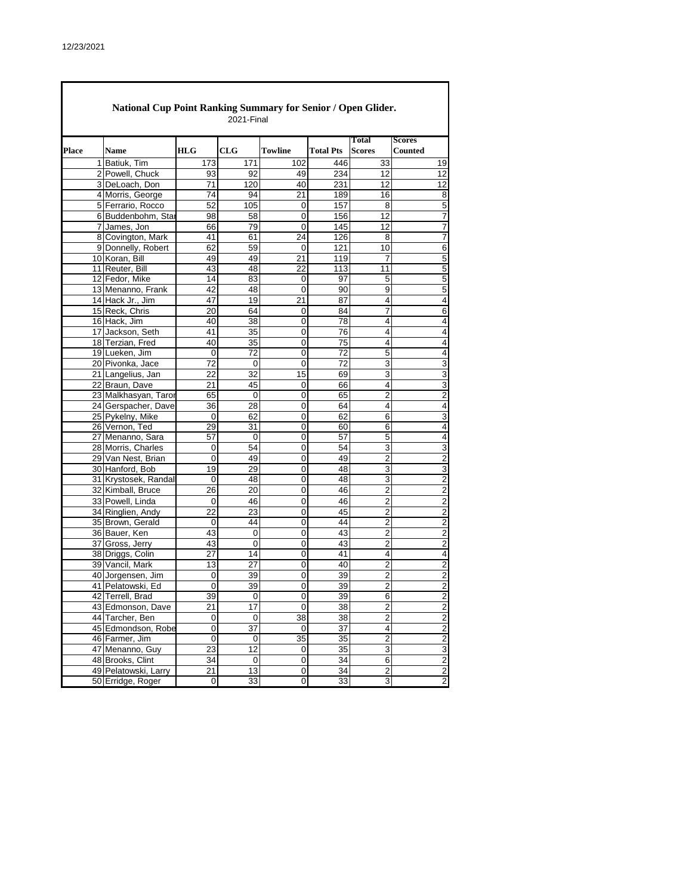|       | <b>National Cup Point Ranking Summary for Senior / Open Glider.</b><br>2021-Final |                      |            |                 |                |                  |                               |                                 |  |  |  |  |
|-------|-----------------------------------------------------------------------------------|----------------------|------------|-----------------|----------------|------------------|-------------------------------|---------------------------------|--|--|--|--|
| Place |                                                                                   | <b>Name</b>          | <b>HLG</b> | CLG             | <b>Towline</b> | <b>Total Pts</b> | <b>Total</b><br><b>Scores</b> | <b>Scores</b><br><b>Counted</b> |  |  |  |  |
|       |                                                                                   | 1 Batiuk. Tim        | 173        | 171             | 102            | 446              | 33                            | 19                              |  |  |  |  |
|       |                                                                                   | 2 Powell, Chuck      | 93         | 92              | 49             | 234              | 12                            | 12                              |  |  |  |  |
|       |                                                                                   | 3 DeLoach, Don       | 71         | 120             | 40             | 231              | 12                            | 12                              |  |  |  |  |
|       |                                                                                   | 4 Morris, George     | 74         | 94              | 21             | 189              | 16                            | 8                               |  |  |  |  |
|       |                                                                                   | 5 Ferrario, Rocco    | 52         | 105             | 0              | 157              | 8                             | 5                               |  |  |  |  |
|       |                                                                                   | 6 Buddenbohm, Star   | 98         | 58              | 0              | 156              | 12                            | 7                               |  |  |  |  |
|       |                                                                                   | 7 James, Jon         | 66         | 79              | $\mathbf 0$    | 145              | 12                            | 7                               |  |  |  |  |
|       |                                                                                   | 8 Covington, Mark    | 41         | 61              | 24             | 126              | 8                             | 7                               |  |  |  |  |
|       |                                                                                   | 9 Donnelly, Robert   | 62         | 59              | $\Omega$       | 121              | 10                            | 6                               |  |  |  |  |
|       |                                                                                   | 10 Koran, Bill       | 49         | 49              | 21             | 119              | 7                             | 5                               |  |  |  |  |
|       |                                                                                   | 11 Reuter, Bill      | 43         | 48              | 22             | 113              | 11                            | 5                               |  |  |  |  |
|       |                                                                                   | 12 Fedor, Mike       | 14         | 83              | 0              | 97               | 5                             | 5                               |  |  |  |  |
|       |                                                                                   | 13 Menanno, Frank    | 42         | 48              | 0              | 90               | 9                             | 5                               |  |  |  |  |
|       |                                                                                   | 14 Hack Jr., Jim     | 47         | 19              | 21             | 87               | 4                             | 4                               |  |  |  |  |
|       |                                                                                   | 15 Reck, Chris       | 20         | 64              | 0              | 84               | $\overline{7}$                | 6                               |  |  |  |  |
|       |                                                                                   | 16 Hack, Jim         | 40         | 38              | 0              | 78               | 4                             | 4                               |  |  |  |  |
|       |                                                                                   | 17 Jackson, Seth     | 41         | 35              | 0              | 76               | 4                             | 4                               |  |  |  |  |
|       |                                                                                   | 18 Terzian, Fred     | 40         | 35              | 0              | 75               | 4                             | 4                               |  |  |  |  |
|       |                                                                                   | 19 Lueken, Jim       | 0          | 72              | 0              | 72               | 5                             | 4                               |  |  |  |  |
|       |                                                                                   | 20 Pivonka, Jace     | 72         | $\Omega$        | 0              | 72               | 3                             | 3                               |  |  |  |  |
|       |                                                                                   | 21 Langelius, Jan    | 22         | $\overline{32}$ | 15             | 69               | 3                             | 3                               |  |  |  |  |
|       |                                                                                   | 22 Braun, Dave       | 21         | 45              | 0              | 66               | 4                             | 3                               |  |  |  |  |
|       |                                                                                   | 23 Malkhasyan, Taror | 65         | $\mathbf 0$     | 0              | 65               | $\overline{2}$                | $\overline{2}$                  |  |  |  |  |
|       |                                                                                   | 24 Gerspacher, Dave  | 36         | 28              | 0              | 64               | 4                             | 4                               |  |  |  |  |
|       |                                                                                   | 25 Pykelny, Mike     | 0          | 62              | $\overline{0}$ | 62               | 6                             | 3                               |  |  |  |  |
|       |                                                                                   | 26 Vernon, Ted       | 29         | 31              | 0              | 60               | 6                             | 4                               |  |  |  |  |
|       |                                                                                   | 27 Menanno, Sara     | 57         | $\mathbf 0$     | 0              | 57               | 5                             | 4                               |  |  |  |  |
|       |                                                                                   | 28 Morris, Charles   | 0          | 54              | 0              | 54               | 3                             | 3                               |  |  |  |  |
|       |                                                                                   | 29 Van Nest, Brian   | 0          | 49              | 0              | 49               | $\overline{2}$                | $\overline{2}$                  |  |  |  |  |
|       |                                                                                   | 30 Hanford, Bob      | 19         | 29              | 0              | 48               | 3                             | 3                               |  |  |  |  |
|       |                                                                                   | 31 Krystosek, Randal | 0          | 48              | 0              | 48               | 3                             | $\overline{2}$                  |  |  |  |  |
|       |                                                                                   | 32 Kimball, Bruce    | 26         | 20              | 0              | 46               | 2                             | 2                               |  |  |  |  |
|       |                                                                                   | 33 Powell, Linda     | 0          | 46              | 0              | 46               | 2                             | 2                               |  |  |  |  |
|       |                                                                                   | 34 Ringlien, Andy    | 22         | 23              | 0              | 45               | $\overline{2}$                | 2                               |  |  |  |  |
|       |                                                                                   | 35 Brown, Gerald     | 0          | 44              | 0              | 44               | 2                             | $\overline{2}$                  |  |  |  |  |
|       |                                                                                   | 36 Bauer, Ken        | 43         | $\mathbf 0$     | 0              | 43               | $\overline{2}$                | $\overline{2}$                  |  |  |  |  |
|       |                                                                                   | 37 Gross, Jerry      | 43         | 0               | 0              | 43               | $\overline{2}$                | $\overline{2}$                  |  |  |  |  |
|       |                                                                                   | 38 Driggs, Colin     | 27         | 14              | 0              | 41               | 4                             | $\overline{4}$                  |  |  |  |  |
|       |                                                                                   | 39 Vancil, Mark      | 13         | 27              | 0              | 40               | $\overline{2}$                | $\overline{2}$                  |  |  |  |  |
|       |                                                                                   | 40 Jorgensen, Jim    | 0          | 39              | 0              | 39               | $\overline{c}$                | 2                               |  |  |  |  |
|       |                                                                                   | 41 Pelatowski, Ed    | 0          | 39              | 0              | 39               | $\overline{2}$                | $\overline{2}$                  |  |  |  |  |
|       |                                                                                   | 42 Terrell, Brad     | 39         | $\pmb{0}$       | 0              | 39               | 6                             | $\overline{\mathbf{c}}$         |  |  |  |  |
|       |                                                                                   | 43 Edmonson, Dave    | 21         | 17              | 0              | 38               | $\overline{c}$                | $\overline{c}$                  |  |  |  |  |
|       |                                                                                   | 44 Tarcher, Ben      | 0          | $\pmb{0}$       | 38             | 38               | $\overline{\mathbf{c}}$       | $\overline{c}$                  |  |  |  |  |
|       |                                                                                   | 45 Edmondson, Robe   | $\pmb{0}$  | 37              | 0              | 37               | 4                             | $\overline{\mathbf{c}}$         |  |  |  |  |
|       |                                                                                   | 46 Farmer, Jim       | 0          | $\pmb{0}$       | 35             | 35               | $\overline{c}$                | $\overline{c}$                  |  |  |  |  |
|       |                                                                                   | 47 Menanno, Guy      | 23         | 12              | 0              | 35               | 3                             | 3                               |  |  |  |  |
|       |                                                                                   | 48 Brooks, Clint     | 34         | $\pmb{0}$       | $\mathbf 0$    | 34               | 6                             | $\overline{2}$                  |  |  |  |  |
|       |                                                                                   | 49 Pelatowski, Larry | 21         | 13              | 0              | 34               | 2                             | $\overline{2}$                  |  |  |  |  |
|       |                                                                                   | 50 Erridge, Roger    | $\pmb{0}$  | 33              | 0              | 33               | 3                             | $\overline{c}$                  |  |  |  |  |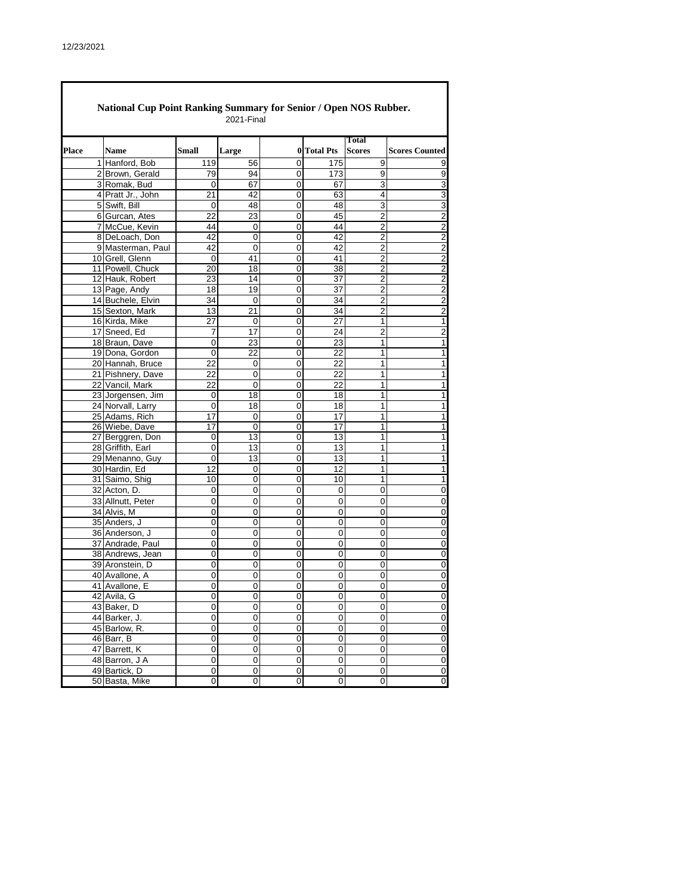|       | National Cup Point Ranking Summary for Senior / Open NOS Rubber.<br>2021-Final |                   |       |          |   |             |                               |                         |  |  |  |
|-------|--------------------------------------------------------------------------------|-------------------|-------|----------|---|-------------|-------------------------------|-------------------------|--|--|--|
| Place |                                                                                | <b>Name</b>       | Small | Large    |   | 0 Total Pts | <b>Total</b><br><b>Scores</b> | <b>Scores Counted</b>   |  |  |  |
|       |                                                                                | 1 Hanford, Bob    | 119   | 56       | 0 | 175         | 9                             | 9                       |  |  |  |
|       |                                                                                | 2 Brown, Gerald   | 79    | 94       | 0 | 173         | 9                             | 9                       |  |  |  |
|       |                                                                                | 3 Romak, Bud      | 0     | 67       | 0 | 67          | 3                             | 3                       |  |  |  |
|       |                                                                                | 4 Pratt Jr., John | 21    | 42       | 0 | 63          | 4                             | 3                       |  |  |  |
|       |                                                                                | 5 Swift, Bill     | 0     | 48       | 0 | 48          | 3                             | 3                       |  |  |  |
|       |                                                                                | 6 Gurcan, Ates    | 22    | 23       | 0 | 45          | 2                             | $\overline{c}$          |  |  |  |
|       |                                                                                | 7 McCue, Kevin    | 44    | 0        | 0 | 44          | $\overline{2}$                | $\overline{c}$          |  |  |  |
|       |                                                                                | 8 DeLoach, Don    | 42    | 0        | 0 | 42          | 2                             | $\overline{2}$          |  |  |  |
|       |                                                                                | 9 Masterman, Paul | 42    | $\Omega$ | 0 | 42          | $\overline{2}$                | $\overline{\mathbf{c}}$ |  |  |  |
|       |                                                                                | 10 Grell, Glenn   | 0     | 41       | 0 | 41          | $\overline{2}$                | $\overline{2}$          |  |  |  |
|       |                                                                                | 11 Powell, Chuck  | 20    | 18       | 0 | 38          | $\overline{2}$                | $\overline{2}$          |  |  |  |
|       |                                                                                | 12 Hauk, Robert   | 23    | 14       | 0 | 37          | 2                             | $\overline{2}$          |  |  |  |
|       |                                                                                | 13 Page, Andy     | 18    | 19       | 0 | 37          | $\overline{2}$                | $\overline{c}$          |  |  |  |
|       |                                                                                |                   | 34    |          | 0 | 34          | $\overline{2}$                |                         |  |  |  |
|       |                                                                                | 14 Buchele, Elvin |       | 0        |   |             |                               | $\overline{2}$          |  |  |  |
|       |                                                                                | 15 Sexton, Mark   | 13    | 21       | 0 | 34          | 2                             | $\overline{2}$          |  |  |  |
|       |                                                                                | 16 Kirda, Mike    | 27    | 0        | 0 | 27          | 1                             | $\mathbf{1}$            |  |  |  |
|       |                                                                                | 17 Sneed, Ed      | 7     | 17       | 0 | 24          | 2                             | $\overline{2}$          |  |  |  |
|       |                                                                                | 18 Braun, Dave    | 0     | 23       | 0 | 23          | 1                             | 1                       |  |  |  |
|       |                                                                                | 19 Dona, Gordon   | 0     | 22       | 0 | 22          | 1                             | $\overline{1}$          |  |  |  |
|       |                                                                                | 20 Hannah, Bruce  | 22    | 0        | 0 | 22          | 1                             | 1                       |  |  |  |
|       |                                                                                | 21 Pishnery, Dave | 22    | 0        | 0 | 22          | 1                             | 1                       |  |  |  |
|       |                                                                                | 22 Vancil, Mark   | 22    | 0        | 0 | 22          | 1                             | 1                       |  |  |  |
|       |                                                                                | 23 Jorgensen, Jim | 0     | 18       | 0 | 18          | 1                             | 1                       |  |  |  |
|       |                                                                                | 24 Norvall, Larry | 0     | 18       | 0 | 18          | 1                             | 1                       |  |  |  |
|       |                                                                                | 25 Adams, Rich    | 17    | 0        | 0 | 17          | 1                             | 1                       |  |  |  |
|       |                                                                                | 26 Wiebe, Dave    | 17    | 0        | 0 | 17          | 1                             | 1                       |  |  |  |
|       |                                                                                | 27 Berggren, Don  | 0     | 13       | 0 | 13          | 1                             | 1                       |  |  |  |
|       |                                                                                | 28 Griffith, Earl | 0     | 13       | 0 | 13          | 1                             | 1                       |  |  |  |
|       |                                                                                | 29 Menanno, Guy   | 0     | 13       | 0 | 13          | 1                             | 1                       |  |  |  |
|       |                                                                                | 30 Hardin, Ed     | 12    | 0        | 0 | 12          | 1                             | 1                       |  |  |  |
|       |                                                                                | 31 Saimo, Shig    | 10    | 0        | 0 | 10          | 1                             | 1                       |  |  |  |
|       |                                                                                | 32 Acton, D.      | 0     | 0        | 0 | 0           | 0                             | 0                       |  |  |  |
|       |                                                                                | 33 Allnutt, Peter | 0     | 0        | 0 | 0           | 0                             | $\mathbf 0$             |  |  |  |
|       |                                                                                | 34 Alvis, M       | 0     | 0        | 0 | 0           | 0                             | 0                       |  |  |  |
|       |                                                                                | 35 Anders, J      | 0     | 0        | 0 | 0           | 0                             | 0                       |  |  |  |
|       |                                                                                |                   |       |          |   |             |                               |                         |  |  |  |
|       |                                                                                | 36 Anderson, J    | 0     | 0        | 0 | 0           | 0                             | 0                       |  |  |  |
|       |                                                                                | 37 Andrade, Paul  | 0     | 0        | 0 | 0           | 0                             | $\overline{0}$          |  |  |  |
|       |                                                                                | 38 Andrews, Jean  | 0     | 0        | 0 | 0           | 0                             | 0                       |  |  |  |
|       |                                                                                | 39 Aronstein, D   | 0     | 0        | 0 | 0           | 0                             | $\overline{0}$          |  |  |  |
|       |                                                                                | 40 Avallone, A    | 0     | 0        | 0 | 0           | 0                             | 0                       |  |  |  |
|       |                                                                                | 41 Avallone, E    | 0     | 0        | 0 | 0           | 0                             | 0                       |  |  |  |
|       |                                                                                | 42 Avila, G       | 0     | 0        | 0 | 0           | 0                             | $\overline{0}$          |  |  |  |
|       |                                                                                | 43 Baker, D       | 0     | 0        | 0 | 0           | 0                             | $\mathbf 0$             |  |  |  |
|       |                                                                                | 44 Barker, J.     | 0     | 0        | 0 | 0           | 0                             | $\pmb{0}$               |  |  |  |
|       |                                                                                | 45 Barlow, R.     | 0     | 0        | 0 | 0           | 0                             | $\overline{\mathbf{0}}$ |  |  |  |
|       |                                                                                | 46 Barr, B        | 0     | 0        | 0 | 0           | 0                             | $\mathbf 0$             |  |  |  |
|       |                                                                                | 47 Barrett, K     | 0     | 0        | 0 | 0           | 0                             | $\overline{0}$          |  |  |  |
|       |                                                                                | 48 Barron, J A    | 0     | 0        | 0 | 0           | 0                             | $\overline{\mathbf{0}}$ |  |  |  |
|       |                                                                                | 49 Bartick, D     | 0     | 0        | 0 | 0           | 0                             | $\overline{0}$          |  |  |  |
|       |                                                                                | 50 Basta, Mike    | 0     | 0        | 0 | 0           | 0                             | $\overline{0}$          |  |  |  |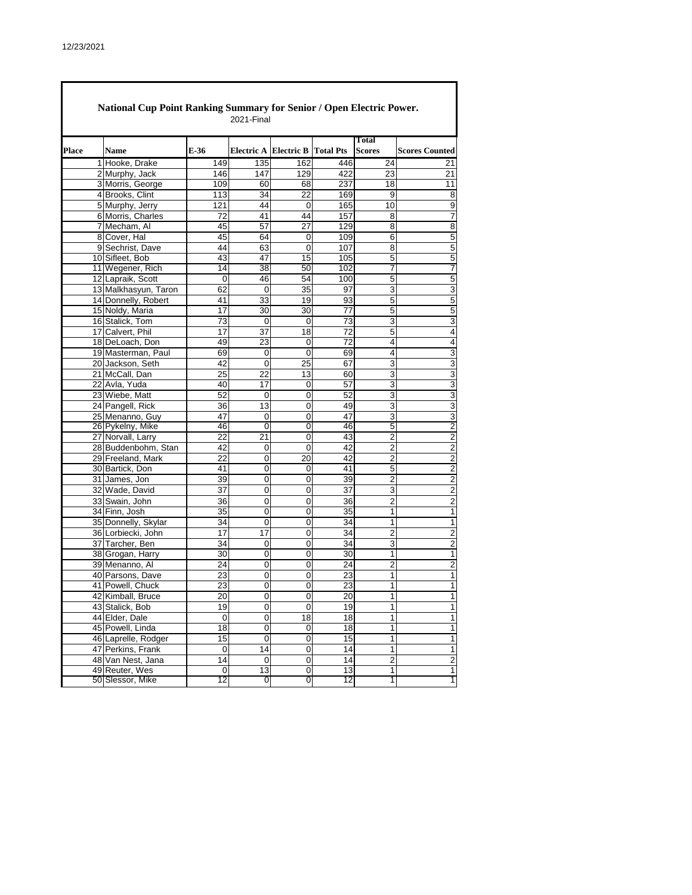|       | National Cup Point Ranking Summary for Senior / Open Electric Power. |                     | 2021-Final          |                       |                  |                               |                         |
|-------|----------------------------------------------------------------------|---------------------|---------------------|-----------------------|------------------|-------------------------------|-------------------------|
| Place | <b>Name</b>                                                          | E-36                |                     | Electric A Electric B | <b>Total Pts</b> | <b>Total</b><br><b>Scores</b> | <b>Scores Counted</b>   |
|       | 1 Hooke, Drake                                                       | 149                 | 135                 | 162                   | 446              | 24                            | 21                      |
|       | 2 Murphy, Jack                                                       | 146                 | 147                 | 129                   | 422              | 23                            | 21                      |
|       | 3 Morris, George                                                     | 109                 | 60                  | 68                    | 237              | 18                            | 11                      |
|       | 4 Brooks, Clint                                                      | 113                 | 34                  | $\overline{22}$       | 169              | 9                             | 8                       |
|       | 5 Murphy, Jerry                                                      | 121                 | 44                  | 0                     | 165              | 10                            | 9                       |
|       | 6 Morris, Charles                                                    | 72                  | 41                  | 44                    | 157              | 8                             | 7                       |
|       | 7 Mecham, Al                                                         | 45                  | 57                  | 27                    | 129              | 8                             | 8                       |
|       | 8 Cover, Hal                                                         | 45                  | 64                  | 0                     | 109              | 6                             | 5                       |
|       | 9 Sechrist, Dave                                                     | 44                  | 63                  | 0                     | 107              | 8                             | 5                       |
|       | 10 Sifleet, Bob                                                      | 43                  | 47                  | 15                    | 105              | 5                             | 5                       |
|       | 11 Wegener, Rich                                                     | 14                  | 38                  | 50                    | 102              | 7                             | 7                       |
|       | 12 Lapraik, Scott                                                    | 0                   | 46                  | 54                    | 100              | 5                             | 5                       |
|       | 13 Malkhasyun, Taron                                                 | 62                  | 0                   | 35                    | 97               | 3                             | 3                       |
|       | 14 Donnelly, Robert                                                  | 41                  | 33                  | 19                    | 93               | 5                             | 5                       |
|       | 15 Noldy, Maria                                                      | 17                  | 30                  | 30                    | 77               | 5                             | 5                       |
|       | 16 Stalick, Tom                                                      | 73                  | 0                   | 0                     | $\overline{73}$  | 3                             | 3                       |
|       | 17 Calvert, Phil                                                     | 17                  | 37                  | 18                    | 72               | 5                             | 4                       |
|       | 18 DeLoach, Don                                                      | 49                  | 23                  | 0                     | $\overline{72}$  | 4                             | 4                       |
|       | 19 Masterman, Paul                                                   | 69                  | 0                   | 0                     | 69               | 4                             | 3                       |
|       | 20 Jackson, Seth                                                     | 42                  | 0                   | 25                    | 67               | 3                             | 3                       |
|       | 21 McCall, Dan                                                       | 25                  | 22                  | 13                    | 60               | 3                             | 3                       |
|       | 22 Avla, Yuda                                                        | 40                  | 17                  | $\mathbf 0$           | 57               | 3                             | 3                       |
|       | 23 Wiebe, Matt                                                       | 52                  | 0                   | 0                     | 52               | 3                             | 3                       |
|       | 24 Pangell, Rick                                                     | 36                  | 13                  | $\mathbf 0$           | 49               | 3                             | 3                       |
|       | 25 Menanno, Guy                                                      | 47                  | 0                   | 0                     | 47               | 3                             | 3                       |
|       | 26 Pykelny, Mike                                                     | 46                  | 0                   | $\overline{0}$        | 46               | 5                             | $\overline{c}$          |
|       | 27 Norvall, Larry                                                    | 22                  | 21                  | 0                     | 43               | $\overline{c}$                | $\overline{c}$          |
|       | 28 Buddenbohm, Stan                                                  | 42                  | 0                   | 0                     | 42               | $\overline{c}$                | $\overline{\mathbf{c}}$ |
|       | 29 Freeland, Mark                                                    | 22                  | 0                   | 20                    | 42               | $\overline{2}$                | $\overline{2}$          |
|       | 30 Bartick, Don                                                      | 41                  | 0                   | 0                     | 41               | 5                             | $\overline{c}$          |
|       | 31 James, Jon                                                        | 39                  | 0                   | 0                     | 39               | $\overline{2}$                | $\overline{2}$          |
|       | 32 Wade, David                                                       | 37                  | 0                   | 0                     | 37               | 3                             | $\overline{c}$          |
|       | 33 Swain, John                                                       | 36                  | 0                   | 0                     | 36               | $\overline{2}$                | $\overline{2}$          |
|       | 34 Finn, Josh                                                        | 35                  | $\overline{0}$      | $\overline{0}$        | 35               | 1                             | 1                       |
|       | 35 Donnelly, Skylar                                                  | 34                  | 0                   | 0                     | 34               | 1                             | 1                       |
|       | 36 Lorbiecki, John                                                   | 17                  | 17                  | 0                     | 34               | $\overline{2}$                | $\overline{2}$          |
|       | 37 Tarcher, Ben                                                      | 34                  | 0                   | 0                     | 34               | 3                             | $\overline{c}$          |
|       | 38 Grogan, Harry                                                     | 30                  | $\mathbf 0$         | 0                     | 30               | 1                             | 1                       |
|       | 39 Menanno, Al                                                       | 24                  | 0                   | 0                     | 24               | 2                             | $\overline{\mathbf{c}}$ |
|       | 40 Parsons, Dave                                                     | 23                  | 0                   | 0                     | 23               | 1                             | 1                       |
|       | 41 Powell, Chuck                                                     | 23                  | 0                   | 0                     | 23               | 1                             | 1                       |
|       | 42 Kimball, Bruce                                                    | 20                  | 0                   | 0                     | 20               | 1                             | 1                       |
|       | 43 Stalick, Bob                                                      | 19                  | $\mathsf{O}\xspace$ | $\mathbf 0$           | 19               | 1                             | $\mathbf{1}$            |
|       | 44 Elder, Dale                                                       | 0                   | 0                   | 18                    | 18               | 1                             | $\mathbf{1}$            |
|       | 45 Powell, Linda                                                     | $\overline{18}$     | $\overline{0}$      | $\boldsymbol{0}$      | $\overline{18}$  | 1                             | 1                       |
|       | 46 Laprelle, Rodger                                                  | 15                  | 0                   | $\mathbf 0$           | 15               | 1                             | 1                       |
|       | 47 Perkins, Frank                                                    | $\mathsf{O}\xspace$ | 14                  | $\overline{0}$        | 14               | 1                             | 1                       |
|       | 48 Van Nest, Jana                                                    | 14                  | 0                   | 0                     | 14               | $\overline{2}$                | $\overline{2}$          |
|       | 49 Reuter, Wes                                                       | 0<br>12             | 13                  | $\pmb{0}$             | 13               | 1                             | 1                       |
|       | 50 Slessor, Mike                                                     |                     | 0                   | 0                     | 12               | 1                             | 1                       |